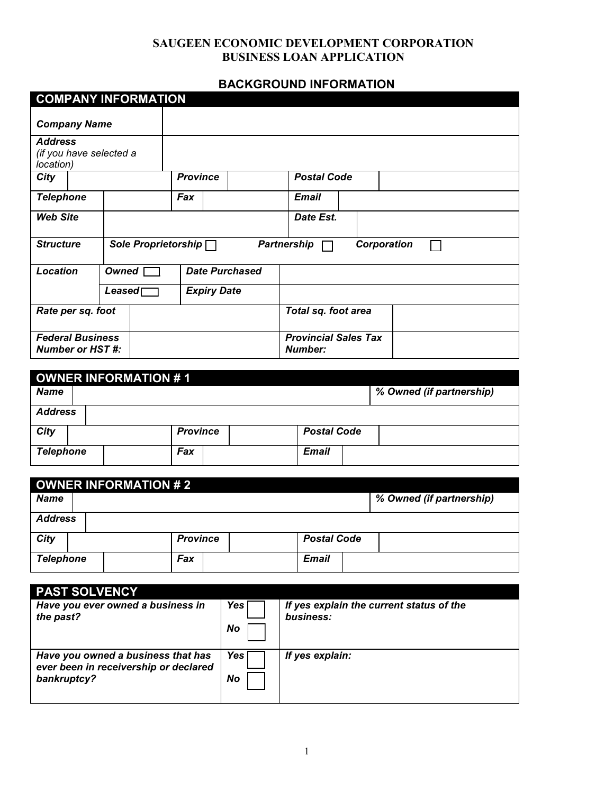# **BACKGROUND INFORMATION**

|                                                        |                                                |       | <b>COMPANY INFORMATION</b> |                       |                    |                     |                                        |             |  |
|--------------------------------------------------------|------------------------------------------------|-------|----------------------------|-----------------------|--------------------|---------------------|----------------------------------------|-------------|--|
| <b>Company Name</b>                                    |                                                |       |                            |                       |                    |                     |                                        |             |  |
| <b>Address</b><br>(if you have selected a<br>location) |                                                |       |                            |                       |                    |                     |                                        |             |  |
| City                                                   |                                                |       |                            | <b>Province</b>       |                    |                     | <b>Postal Code</b>                     |             |  |
| <b>Telephone</b>                                       |                                                |       |                            | Fax                   |                    |                     | <b>Email</b>                           |             |  |
| <b>Web Site</b>                                        |                                                |       |                            |                       |                    | Date Est.           |                                        |             |  |
|                                                        | <b>Structure</b><br>Sole Proprietorship $\Box$ |       |                            |                       |                    |                     | <b>Partnership</b>                     | Corporation |  |
| Location                                               |                                                | Owned |                            | <b>Date Purchased</b> |                    |                     |                                        |             |  |
|                                                        |                                                |       | $\textsf{Leased}$          |                       | <b>Expiry Date</b> |                     |                                        |             |  |
| Rate per sq. foot                                      |                                                |       |                            |                       |                    | Total sq. foot area |                                        |             |  |
| <b>Federal Business</b><br><b>Number or HST#:</b>      |                                                |       |                            |                       |                    |                     | <b>Provincial Sales Tax</b><br>Number: |             |  |

| OWNER INFORMATION #1 |  |  |                 |  |  |                    |                          |
|----------------------|--|--|-----------------|--|--|--------------------|--------------------------|
| <b>Name</b>          |  |  |                 |  |  |                    | % Owned (if partnership) |
| <b>Address</b>       |  |  |                 |  |  |                    |                          |
| City                 |  |  | <b>Province</b> |  |  | <b>Postal Code</b> |                          |
| <b>Telephone</b>     |  |  | Fax             |  |  | <b>Email</b>       |                          |

| <b>OWNER INFORMATION #2</b> |                 |                          |  |  |  |
|-----------------------------|-----------------|--------------------------|--|--|--|
| <b>Name</b>                 |                 | % Owned (if partnership) |  |  |  |
| <b>Address</b>              |                 |                          |  |  |  |
| City                        | <b>Province</b> | <b>Postal Code</b>       |  |  |  |
| <b>Telephone</b>            | Fax             | <b>Email</b>             |  |  |  |

| <b>PAST SOLVENCY</b>                                                                       |             |                                                       |
|--------------------------------------------------------------------------------------------|-------------|-------------------------------------------------------|
| Have you ever owned a business in<br>the past?                                             | Yes l<br>No | If yes explain the current status of the<br>business: |
| Have you owned a business that has<br>ever been in receivership or declared<br>bankruptcy? | Yes<br>No   | If yes explain:                                       |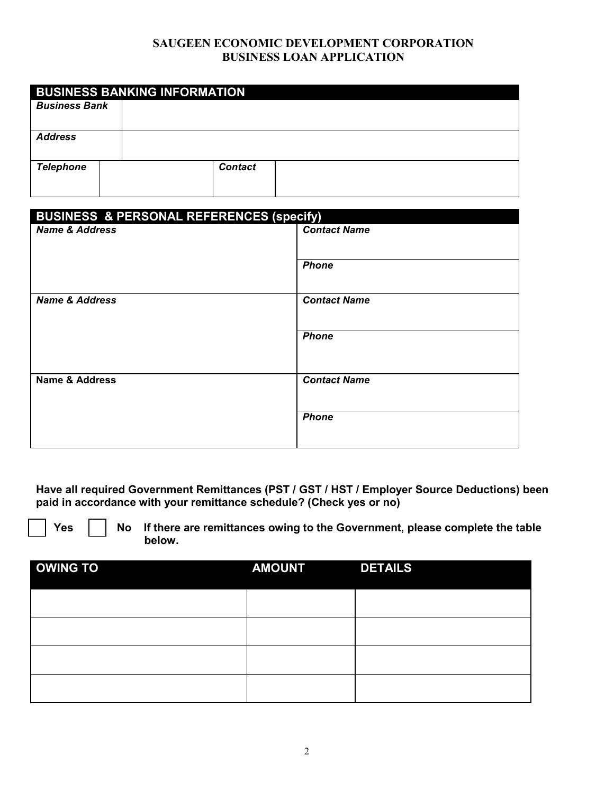|                      | <b>BUSINESS BANKING INFORMATION</b> |
|----------------------|-------------------------------------|
| <b>Business Bank</b> |                                     |
|                      |                                     |
| <b>Address</b>       |                                     |
| <b>Telephone</b>     | <b>Contact</b>                      |

| <b>BUSINESS &amp; PERSONAL REFERENCES (specify)</b> |                     |  |  |  |
|-----------------------------------------------------|---------------------|--|--|--|
| <b>Name &amp; Address</b>                           | <b>Contact Name</b> |  |  |  |
|                                                     | <b>Phone</b>        |  |  |  |
| <b>Name &amp; Address</b>                           | <b>Contact Name</b> |  |  |  |
|                                                     | <b>Phone</b>        |  |  |  |
| Name & Address                                      | <b>Contact Name</b> |  |  |  |
|                                                     | <b>Phone</b>        |  |  |  |

**Have all required Government Remittances (PST / GST / HST / Employer Source Deductions) been paid in accordance with your remittance schedule? (Check yes or no)** 



**No If there are remittances owing to the Government, please complete the table below.**

| <b>OWING TO</b> | <b>AMOUNT</b> | <b>DETAILS</b> |
|-----------------|---------------|----------------|
|                 |               |                |
|                 |               |                |
|                 |               |                |
|                 |               |                |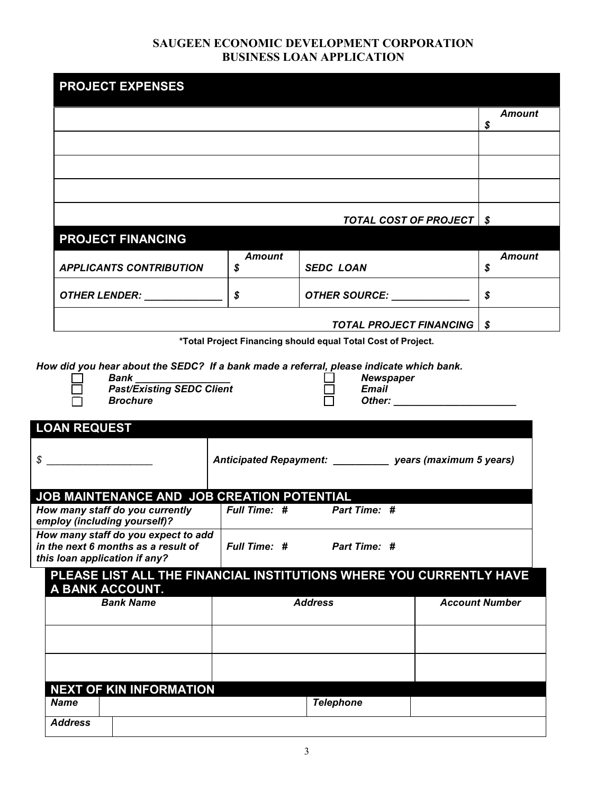|                                                                                                                                                                                                                                                                                                                                                                                                  |               |                                                                                                                             | <b>Amount</b>                                                                                                  |
|--------------------------------------------------------------------------------------------------------------------------------------------------------------------------------------------------------------------------------------------------------------------------------------------------------------------------------------------------------------------------------------------------|---------------|-----------------------------------------------------------------------------------------------------------------------------|----------------------------------------------------------------------------------------------------------------|
|                                                                                                                                                                                                                                                                                                                                                                                                  |               |                                                                                                                             | \$                                                                                                             |
|                                                                                                                                                                                                                                                                                                                                                                                                  |               |                                                                                                                             |                                                                                                                |
|                                                                                                                                                                                                                                                                                                                                                                                                  |               |                                                                                                                             |                                                                                                                |
|                                                                                                                                                                                                                                                                                                                                                                                                  |               |                                                                                                                             |                                                                                                                |
|                                                                                                                                                                                                                                                                                                                                                                                                  |               |                                                                                                                             |                                                                                                                |
|                                                                                                                                                                                                                                                                                                                                                                                                  |               |                                                                                                                             |                                                                                                                |
|                                                                                                                                                                                                                                                                                                                                                                                                  |               |                                                                                                                             | <b>TOTAL COST OF PROJECT   \$</b>                                                                              |
| <b>PROJECT FINANCING</b>                                                                                                                                                                                                                                                                                                                                                                         |               |                                                                                                                             |                                                                                                                |
|                                                                                                                                                                                                                                                                                                                                                                                                  | <b>Amount</b> |                                                                                                                             | <b>Amount</b>                                                                                                  |
| <b>APPLICANTS CONTRIBUTION</b>                                                                                                                                                                                                                                                                                                                                                                   | \$            | <b>SEDC LOAN</b>                                                                                                            | \$                                                                                                             |
| OTHER LENDER: _____________                                                                                                                                                                                                                                                                                                                                                                      | \$            | <b>OTHER SOURCE:</b>                                                                                                        | $\boldsymbol{\mathsf{s}}$                                                                                      |
|                                                                                                                                                                                                                                                                                                                                                                                                  |               |                                                                                                                             |                                                                                                                |
|                                                                                                                                                                                                                                                                                                                                                                                                  |               | <b>TOTAL PROJECT FINANCING</b>                                                                                              | \$                                                                                                             |
|                                                                                                                                                                                                                                                                                                                                                                                                  |               | *Total Project Financing should equal Total Cost of Project.                                                                |                                                                                                                |
| <b>Bank</b><br><b>Past/Existing SEDC Client</b><br><b>Brochure</b>                                                                                                                                                                                                                                                                                                                               |               | How did you hear about the SEDC? If a bank made a referral, please indicate which bank.<br><b>Newspaper</b><br><b>Email</b> | Other: and the contract of the contract of the contract of the contract of the contract of the contract of the |
|                                                                                                                                                                                                                                                                                                                                                                                                  |               |                                                                                                                             |                                                                                                                |
|                                                                                                                                                                                                                                                                                                                                                                                                  |               | Anticipated Repayment: ____________ years (maximum 5 years)                                                                 |                                                                                                                |
|                                                                                                                                                                                                                                                                                                                                                                                                  |               |                                                                                                                             |                                                                                                                |
|                                                                                                                                                                                                                                                                                                                                                                                                  | Full Time: #  | Part Time: #                                                                                                                |                                                                                                                |
|                                                                                                                                                                                                                                                                                                                                                                                                  |               |                                                                                                                             |                                                                                                                |
|                                                                                                                                                                                                                                                                                                                                                                                                  | Full Time: #  | Part Time: #                                                                                                                |                                                                                                                |
|                                                                                                                                                                                                                                                                                                                                                                                                  |               |                                                                                                                             |                                                                                                                |
|                                                                                                                                                                                                                                                                                                                                                                                                  |               |                                                                                                                             |                                                                                                                |
|                                                                                                                                                                                                                                                                                                                                                                                                  |               |                                                                                                                             |                                                                                                                |
| <b>Bank Name</b>                                                                                                                                                                                                                                                                                                                                                                                 |               | <b>Address</b>                                                                                                              | <b>Account Number</b>                                                                                          |
|                                                                                                                                                                                                                                                                                                                                                                                                  |               |                                                                                                                             |                                                                                                                |
|                                                                                                                                                                                                                                                                                                                                                                                                  |               |                                                                                                                             |                                                                                                                |
|                                                                                                                                                                                                                                                                                                                                                                                                  |               |                                                                                                                             |                                                                                                                |
|                                                                                                                                                                                                                                                                                                                                                                                                  |               |                                                                                                                             |                                                                                                                |
| <b>LOAN REQUEST</b><br>$\frac{1}{2}$<br>JOB MAINTENANCE AND JOB CREATION POTENTIAL<br>How many staff do you currently<br>employ (including yourself)?<br>How many staff do you expect to add<br>in the next 6 months as a result of<br>this loan application if any?<br>PLEASE LIST ALL THE FINANCIAL INSTITUTIONS WHERE YOU CURRENTLY HAVE<br>A BANK ACCOUNT.<br><b>NEXT OF KIN INFORMATION</b> |               |                                                                                                                             |                                                                                                                |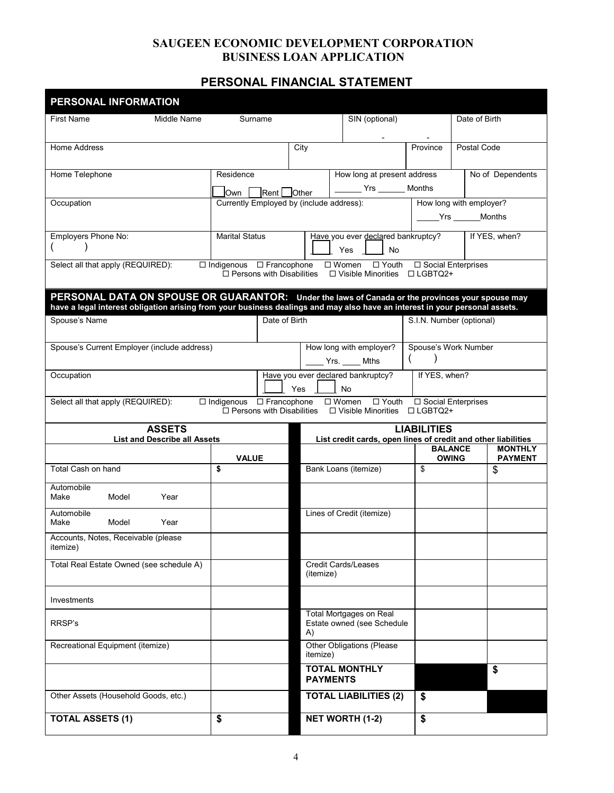# **PERSONAL FINANCIAL STATEMENT**

| PERSONAL INFORMATION                                                                                                                                                                                                           |                                                                          |                                                   |                                                                  |                                                                                                 |                                   |                                |                                  |
|--------------------------------------------------------------------------------------------------------------------------------------------------------------------------------------------------------------------------------|--------------------------------------------------------------------------|---------------------------------------------------|------------------------------------------------------------------|-------------------------------------------------------------------------------------------------|-----------------------------------|--------------------------------|----------------------------------|
| <b>First Name</b><br>Middle Name                                                                                                                                                                                               | Surname                                                                  |                                                   |                                                                  | SIN (optional)                                                                                  |                                   | Date of Birth                  |                                  |
| Home Address                                                                                                                                                                                                                   |                                                                          |                                                   | City                                                             |                                                                                                 | Province                          | Postal Code                    |                                  |
| Home Telephone                                                                                                                                                                                                                 | Residence                                                                | How long at present address<br>Yrs _______ Months |                                                                  |                                                                                                 |                                   |                                | No of Dependents                 |
| Occupation                                                                                                                                                                                                                     | Own I<br>Currently Employed by (include address):                        | Rent <b>Other</b>                                 |                                                                  |                                                                                                 | How long with employer?           |                                |                                  |
|                                                                                                                                                                                                                                |                                                                          |                                                   |                                                                  |                                                                                                 |                                   | _____Yrs ______Months          |                                  |
| Employers Phone No:                                                                                                                                                                                                            | <b>Marital Status</b>                                                    |                                                   |                                                                  | Have you ever declared bankruptcy?<br>Yes<br>No                                                 |                                   |                                | If YES, when?                    |
| Select all that apply (REQUIRED):                                                                                                                                                                                              | $\Box$ Indigenous $\Box$ Francophone<br>$\Box$ Persons with Disabilities |                                                   |                                                                  | $\Box$ Women $\Box$ Youth $\Box$ Social Enterprises<br>$\Box$ Visible Minorities $\Box$ LGBTQ2+ |                                   |                                |                                  |
| PERSONAL DATA ON SPOUSE OR GUARANTOR: Under the laws of Canada or the provinces your spouse may<br>have a legal interest obligation arising from your business dealings and may also have an interest in your personal assets. |                                                                          |                                                   |                                                                  |                                                                                                 |                                   |                                |                                  |
| Spouse's Name                                                                                                                                                                                                                  |                                                                          | Date of Birth                                     |                                                                  |                                                                                                 | S.I.N. Number (optional)          |                                |                                  |
| Spouse's Current Employer (include address)                                                                                                                                                                                    |                                                                          |                                                   |                                                                  | How long with employer?<br>$\frac{1}{2}$ Yrs. $\frac{1}{2}$ Mths                                | Spouse's Work Number              |                                |                                  |
| Occupation                                                                                                                                                                                                                     |                                                                          |                                                   | If YES, when?<br>Have you ever declared bankruptcy?<br>Yes<br>No |                                                                                                 |                                   |                                |                                  |
| Select all that apply (REQUIRED):                                                                                                                                                                                              | □ Indigenous □ Francophone<br>$\Box$ Persons with Disabilities           |                                                   |                                                                  | □ Women<br>$\Box$ Youth<br>$\square$ Visible Minorities                                         | □ Social Enterprises<br>□ LGBTQ2+ |                                |                                  |
| <b>ASSETS</b><br><b>List and Describe all Assets</b>                                                                                                                                                                           |                                                                          |                                                   |                                                                  | List credit cards, open lines of credit and other liabilities                                   | <b>LIABILITIES</b>                |                                |                                  |
|                                                                                                                                                                                                                                | <b>VALUE</b>                                                             |                                                   |                                                                  |                                                                                                 |                                   | <b>BALANCE</b><br><b>OWING</b> | <b>MONTHLY</b><br><b>PAYMENT</b> |
| Total Cash on hand                                                                                                                                                                                                             | \$                                                                       |                                                   |                                                                  | Bank Loans (itemize)                                                                            | \$                                |                                | \$                               |
| Automobile<br>Make<br>Model<br>Year                                                                                                                                                                                            |                                                                          |                                                   |                                                                  |                                                                                                 |                                   |                                |                                  |
| Automobile<br>Model<br>Year<br>Make                                                                                                                                                                                            |                                                                          |                                                   |                                                                  | Lines of Credit (itemize)                                                                       |                                   |                                |                                  |
| Accounts, Notes, Receivable (please<br>itemize)                                                                                                                                                                                |                                                                          |                                                   |                                                                  |                                                                                                 |                                   |                                |                                  |
| Total Real Estate Owned (see schedule A)                                                                                                                                                                                       |                                                                          |                                                   | (itemize)                                                        | Credit Cards/Leases                                                                             |                                   |                                |                                  |
| Investments                                                                                                                                                                                                                    |                                                                          |                                                   |                                                                  |                                                                                                 |                                   |                                |                                  |
| RRSP's                                                                                                                                                                                                                         |                                                                          |                                                   | A)                                                               | <b>Total Mortgages on Real</b><br>Estate owned (see Schedule                                    |                                   |                                |                                  |
| Recreational Equipment (itemize)                                                                                                                                                                                               |                                                                          |                                                   | itemize)                                                         | Other Obligations (Please                                                                       |                                   |                                |                                  |
|                                                                                                                                                                                                                                |                                                                          |                                                   |                                                                  | <b>TOTAL MONTHLY</b><br><b>PAYMENTS</b>                                                         |                                   |                                | \$                               |
| Other Assets (Household Goods, etc.)                                                                                                                                                                                           |                                                                          |                                                   |                                                                  | <b>TOTAL LIABILITIES (2)</b>                                                                    | \$                                |                                |                                  |
| <b>TOTAL ASSETS (1)</b>                                                                                                                                                                                                        | \$                                                                       |                                                   |                                                                  | <b>NET WORTH (1-2)</b>                                                                          | \$                                |                                |                                  |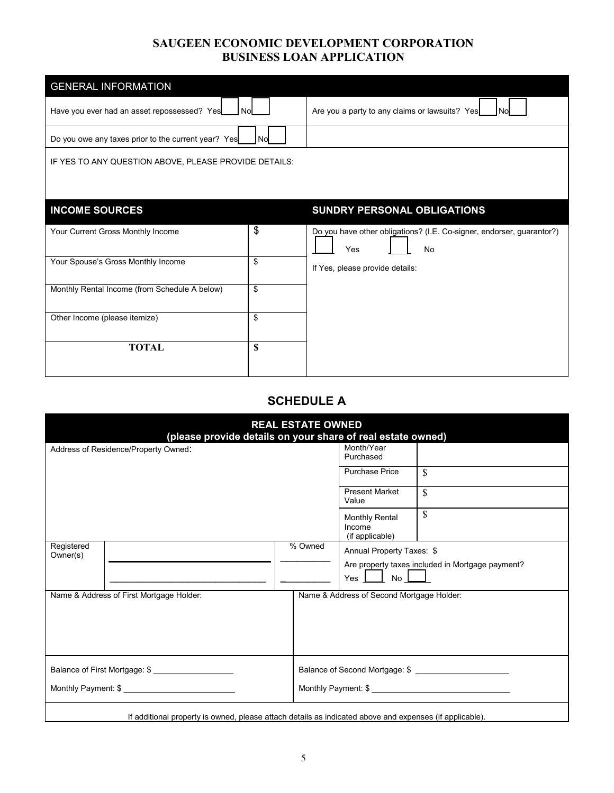| <b>GENERAL INFORMATION</b>                            |            |                                                                                           |
|-------------------------------------------------------|------------|-------------------------------------------------------------------------------------------|
| Have you ever had an asset repossessed? Yes           | <b>Nol</b> | Are you a party to any claims or lawsuits? Yes<br>l Nol                                   |
| Do you owe any taxes prior to the current year? Yes   | No         |                                                                                           |
| IF YES TO ANY QUESTION ABOVE, PLEASE PROVIDE DETAILS: |            |                                                                                           |
|                                                       |            |                                                                                           |
| <b>INCOME SOURCES</b>                                 |            | SUNDRY PERSONAL OBLIGATIONS                                                               |
| Your Current Gross Monthly Income                     | \$         | Do you have other obligations? (I.E. Co-signer, endorser, guarantor?)<br>Yes<br><b>No</b> |
| Your Spouse's Gross Monthly Income                    | \$         | If Yes, please provide details:                                                           |
| Monthly Rental Income (from Schedule A below)         | \$         |                                                                                           |
| Other Income (please itemize)                         | \$         |                                                                                           |
| <b>TOTAL</b>                                          | \$         |                                                                                           |

# **SCHEDULE A**

|                                      | (please provide details on your share of real estate owned)                                             | <b>REAL ESTATE OWNED</b> |                                                    |                                                  |
|--------------------------------------|---------------------------------------------------------------------------------------------------------|--------------------------|----------------------------------------------------|--------------------------------------------------|
| Address of Residence/Property Owned: |                                                                                                         |                          | Month/Year<br>Purchased                            |                                                  |
|                                      |                                                                                                         |                          | <b>Purchase Price</b>                              | \$                                               |
|                                      |                                                                                                         |                          | <b>Present Market</b><br>Value                     | \$                                               |
|                                      |                                                                                                         |                          | <b>Monthly Rental</b><br>Income<br>(if applicable) | \$                                               |
| Registered<br>Owner(s)               |                                                                                                         | % Owned                  | Annual Property Taxes: \$                          |                                                  |
|                                      |                                                                                                         |                          |                                                    | Are property taxes included in Mortgage payment? |
|                                      |                                                                                                         |                          | $Yes \quad No \quad \boxed{\qquad}$                |                                                  |
|                                      | Name & Address of First Mortgage Holder:                                                                |                          | Name & Address of Second Mortgage Holder:          |                                                  |
|                                      | Balance of First Mortgage: \$                                                                           |                          |                                                    |                                                  |
|                                      | Monthly Payment: \$                                                                                     |                          |                                                    | Monthly Payment: \$                              |
|                                      | If additional property is owned, please attach details as indicated above and expenses (if applicable). |                          |                                                    |                                                  |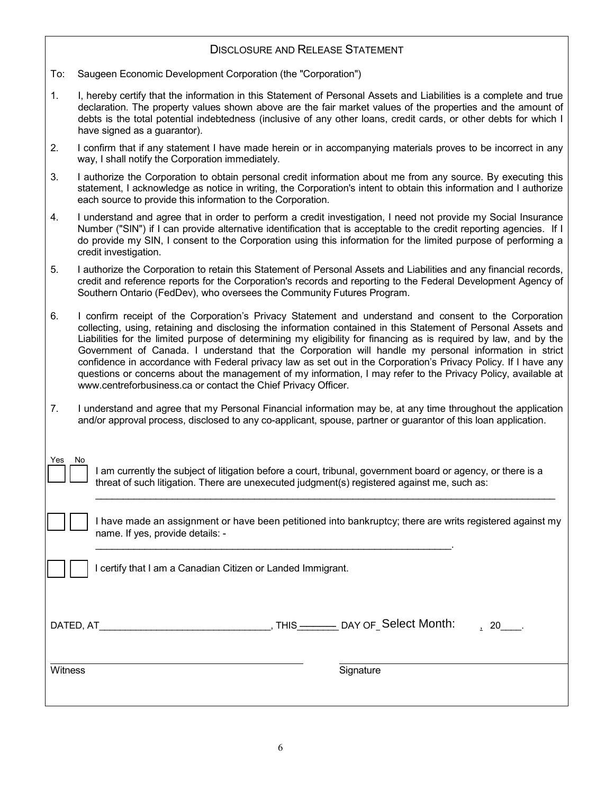## DISCLOSURE AND RELEASE STATEMENT

- To: Saugeen Economic Development Corporation (the "Corporation")
- 1. I, hereby certify that the information in this Statement of Personal Assets and Liabilities is a complete and true declaration. The property values shown above are the fair market values of the properties and the amount of debts is the total potential indebtedness (inclusive of any other loans, credit cards, or other debts for which I have signed as a guarantor).
- 2. I confirm that if any statement I have made herein or in accompanying materials proves to be incorrect in any way, I shall notify the Corporation immediately.
- 3. I authorize the Corporation to obtain personal credit information about me from any source. By executing this statement, I acknowledge as notice in writing, the Corporation's intent to obtain this information and I authorize each source to provide this information to the Corporation.
- 4. I understand and agree that in order to perform a credit investigation, I need not provide my Social Insurance Number ("SIN") if I can provide alternative identification that is acceptable to the credit reporting agencies. If I do provide my SIN, I consent to the Corporation using this information for the limited purpose of performing a credit investigation.
- 5. I authorize the Corporation to retain this Statement of Personal Assets and Liabilities and any financial records, credit and reference reports for the Corporation's records and reporting to the Federal Development Agency of Southern Ontario (FedDev), who oversees the Community Futures Program.
- 6. I confirm receipt of the Corporation's Privacy Statement and understand and consent to the Corporation collecting, using, retaining and disclosing the information contained in this Statement of Personal Assets and Liabilities for the limited purpose of determining my eligibility for financing as is required by law, and by the Government of Canada. I understand that the Corporation will handle my personal information in strict confidence in accordance with Federal privacy law as set out in the Corporation's Privacy Policy. If I have any questions or concerns about the management of my information, I may refer to the Privacy Policy, available at www.centreforbusiness.ca or contact the Chief Privacy Officer.
- 7. I understand and agree that my Personal Financial information may be, at any time throughout the application and/or approval process, disclosed to any co-applicant, spouse, partner or guarantor of this loan application.

| Yes | am currently the subject of litigation before a court, tribunal, government board or agency, or there is a                                   |
|-----|----------------------------------------------------------------------------------------------------------------------------------------------|
| No  | threat of such litigation. There are unexecuted judgment(s) registered against me, such as:                                                  |
|     | I have made an assignment or have been petitioned into bankruptcy; there are writs registered against my<br>name. If yes, provide details: - |

I certify that I am a Canadian Citizen or Landed Immigrant.

DATED, AT\_\_\_\_\_\_\_\_\_\_\_\_\_\_\_\_\_\_\_\_\_\_\_\_\_\_\_\_\_\_\_\_\_, THIS\_\_\_\_\_\_\_\_ DAY OF\_\_\_\_\_\_\_\_\_\_\_\_\_\_\_\_\_\_\_\_, 20\_\_\_\_. \_\_\_\_\_\_\_\_ Select Month:

Witness Signature Signature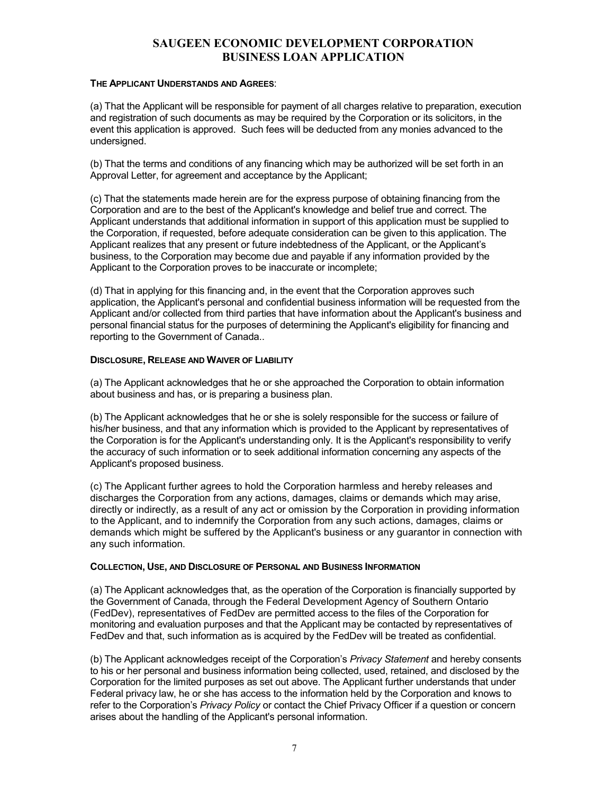#### **THE APPLICANT UNDERSTANDS AND AGREES**:

(a) That the Applicant will be responsible for payment of all charges relative to preparation, execution and registration of such documents as may be required by the Corporation or its solicitors, in the event this application is approved. Such fees will be deducted from any monies advanced to the undersigned.

(b) That the terms and conditions of any financing which may be authorized will be set forth in an Approval Letter, for agreement and acceptance by the Applicant;

(c) That the statements made herein are for the express purpose of obtaining financing from the Corporation and are to the best of the Applicant's knowledge and belief true and correct. The Applicant understands that additional information in support of this application must be supplied to the Corporation, if requested, before adequate consideration can be given to this application. The Applicant realizes that any present or future indebtedness of the Applicant, or the Applicant's business, to the Corporation may become due and payable if any information provided by the Applicant to the Corporation proves to be inaccurate or incomplete;

(d) That in applying for this financing and, in the event that the Corporation approves such application, the Applicant's personal and confidential business information will be requested from the Applicant and/or collected from third parties that have information about the Applicant's business and personal financial status for the purposes of determining the Applicant's eligibility for financing and reporting to the Government of Canada..

#### **DISCLOSURE, RELEASE AND WAIVER OF LIABILITY**

(a) The Applicant acknowledges that he or she approached the Corporation to obtain information about business and has, or is preparing a business plan.

(b) The Applicant acknowledges that he or she is solely responsible for the success or failure of his/her business, and that any information which is provided to the Applicant by representatives of the Corporation is for the Applicant's understanding only. It is the Applicant's responsibility to verify the accuracy of such information or to seek additional information concerning any aspects of the Applicant's proposed business.

(c) The Applicant further agrees to hold the Corporation harmless and hereby releases and discharges the Corporation from any actions, damages, claims or demands which may arise, directly or indirectly, as a result of any act or omission by the Corporation in providing information to the Applicant, and to indemnify the Corporation from any such actions, damages, claims or demands which might be suffered by the Applicant's business or any guarantor in connection with any such information.

#### **COLLECTION, USE, AND DISCLOSURE OF PERSONAL AND BUSINESS INFORMATION**

(a) The Applicant acknowledges that, as the operation of the Corporation is financially supported by the Government of Canada, through the Federal Development Agency of Southern Ontario (FedDev), representatives of FedDev are permitted access to the files of the Corporation for monitoring and evaluation purposes and that the Applicant may be contacted by representatives of FedDev and that, such information as is acquired by the FedDev will be treated as confidential.

(b) The Applicant acknowledges receipt of the Corporation's *Privacy Statement* and hereby consents to his or her personal and business information being collected, used, retained, and disclosed by the Corporation for the limited purposes as set out above. The Applicant further understands that under Federal privacy law, he or she has access to the information held by the Corporation and knows to refer to the Corporation's *Privacy Policy* or contact the Chief Privacy Officer if a question or concern arises about the handling of the Applicant's personal information.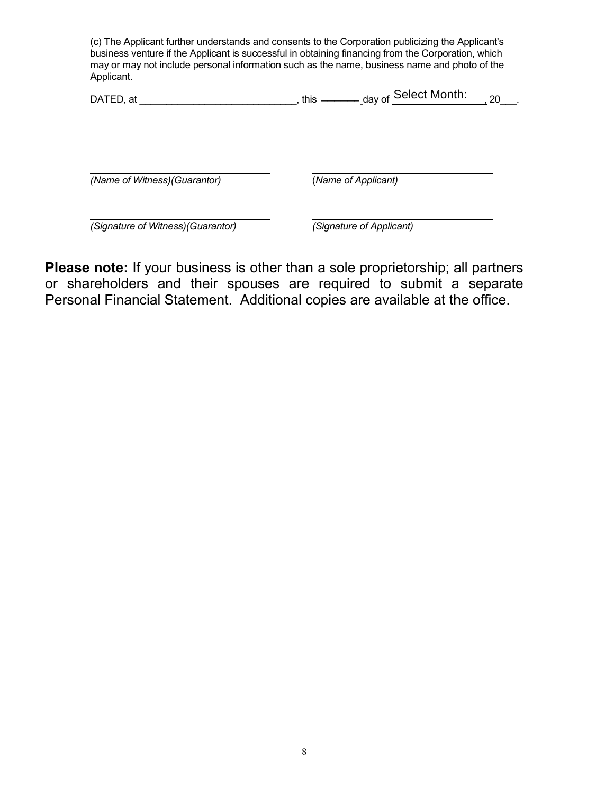(c) The Applicant further understands and consents to the Corporation publicizing the Applicant's business venture if the Applicant is successful in obtaining financing from the Corporation, which may or may not include personal information such as the name, business name and photo of the Applicant.

| <b>DATED</b><br>аt | this | $\mathcal{F}$ Select Month:<br>day of | 2C<br>∠⊾ |  |
|--------------------|------|---------------------------------------|----------|--|
|                    |      |                                       |          |  |

*(Name of Witness)(Guarantor)*

(*Name of Applicant)*

 $\overline{\phantom{a}}$ 

*(Signature of Witness)(Guarantor) (Signature of Applicant)*

**Please note:** If your business is other than a sole proprietorship; all partners or shareholders and their spouses are required to submit a separate Personal Financial Statement. Additional copies are available at the office.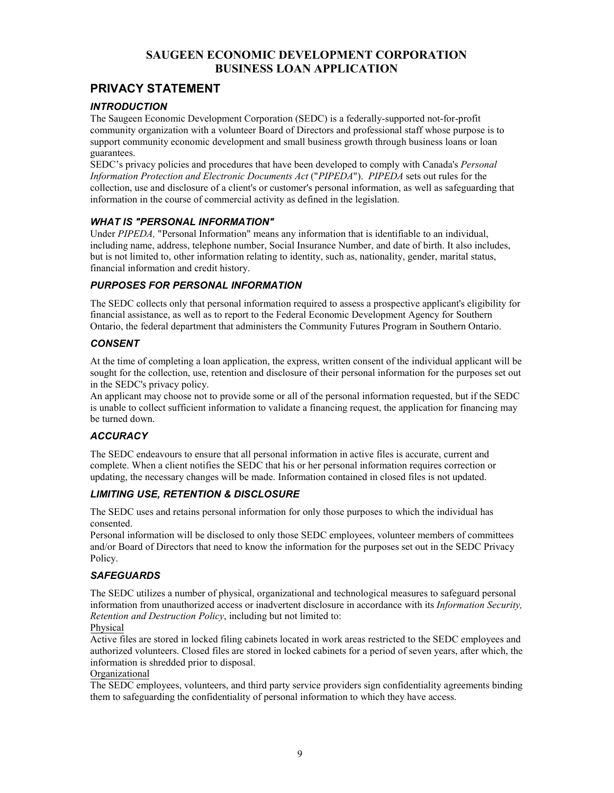# **PRIVACY STATEMENT**

### *INTRODUCTION*

The Saugeen Economic Development Corporation (SEDC) is a federally-supported not-for-profit community organization with a volunteer Board of Directors and professional staff whose purpose is to support community economic development and small business growth through business loans or loan guarantees.

SEDC's privacy policies and procedures that have been developed to comply with Canada's *Personal Information Protection and Electronic Documents Act* ("*PIPEDA*"). *PIPEDA* sets out rules for the collection, use and disclosure of a client's or customer's personal information, as well as safeguarding that information in the course of commercial activity as defined in the legislation.

### *WHAT IS "PERSONAL INFORMATION"*

Under *PIPEDA,* "Personal Information" means any information that is identifiable to an individual, including name, address, telephone number, Social Insurance Number, and date of birth. It also includes, but is not limited to, other information relating to identity, such as, nationality, gender, marital status, financial information and credit history.

### *PURPOSES FOR PERSONAL INFORMATION*

The SEDC collects only that personal information required to assess a prospective applicant's eligibility for financial assistance, as well as to report to the Federal Economic Development Agency for Southern Ontario, the federal department that administers the Community Futures Program in Southern Ontario.

### *CONSENT*

At the time of completing a loan application, the express, written consent of the individual applicant will be sought for the collection, use, retention and disclosure of their personal information for the purposes set out in the SEDC's privacy policy.

An applicant may choose not to provide some or all of the personal information requested, but if the SEDC is unable to collect sufficient information to validate a financing request, the application for financing may be turned down.

## *ACCURACY*

The SEDC endeavours to ensure that all personal information in active files is accurate, current and complete. When a client notifies the SEDC that his or her personal information requires correction or updating, the necessary changes will be made. Information contained in closed files is not updated.

### *LIMITING USE, RETENTION & DISCLOSURE*

The SEDC uses and retains personal information for only those purposes to which the individual has consented.

Personal information will be disclosed to only those SEDC employees, volunteer members of committees and/or Board of Directors that need to know the information for the purposes set out in the SEDC Privacy Policy.

## *SAFEGUARDS*

The SEDC utilizes a number of physical, organizational and technological measures to safeguard personal information from unauthorized access or inadvertent disclosure in accordance with its *Information Security, Retention and Destruction Policy*, including but not limited to:

#### Physical

Active files are stored in locked filing cabinets located in work areas restricted to the SEDC employees and authorized volunteers. Closed files are stored in locked cabinets for a period of seven years, after which, the information is shredded prior to disposal.

### Organizational

The SEDC employees, volunteers, and third party service providers sign confidentiality agreements binding them to safeguarding the confidentiality of personal information to which they have access.